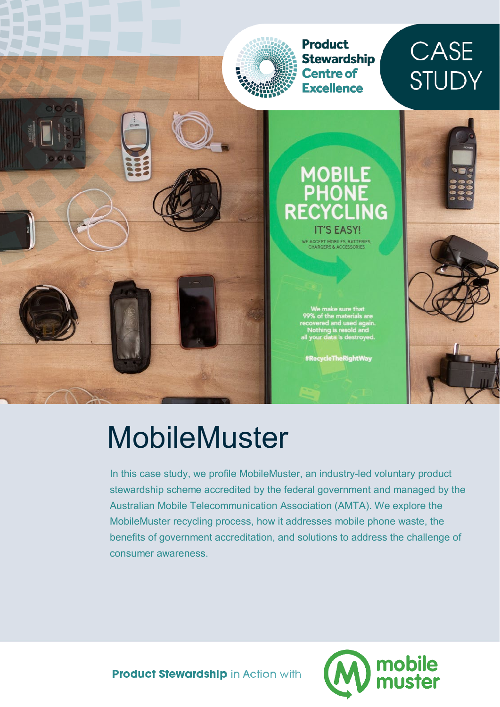

# MobileMuster

In this case study, we profile MobileMuster, an industry-led voluntary product stewardship scheme accredited by the federal government and managed by the Australian Mobile Telecommunication Association (AMTA). We explore the MobileMuster recycling process, how it addresses mobile phone waste, the benefits of government accreditation, and solutions to address the challenge of consumer awareness.



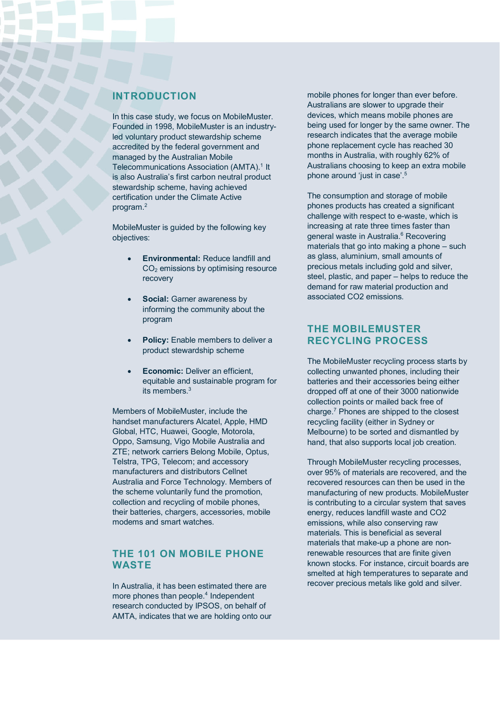# **INTRODUCTION**

In this case study, we focus on MobileMuster. Founded in 1998, MobileMuster is an industryled voluntary product stewardship scheme accredited by the federal government and managed by the Australian Mobile Telecommunications Association (AMTA).<sup>1</sup> It is also Australia's first carbon neutral product stewardship scheme, having achieved certification under the Climate Active program.2

MobileMuster is guided by the following key objectives:

- **Environmental:** Reduce landfill and CO2 emissions by optimising resource recovery
- **Social:** Garner awareness by informing the community about the program
- **Policy:** Enable members to deliver a product stewardship scheme
- **Economic:** Deliver an efficient, equitable and sustainable program for its members.<sup>3</sup>

Members of MobileMuster, include the handset manufacturers Alcatel, Apple, HMD Global, HTC, Huawei, Google, Motorola, Oppo, Samsung, Vigo Mobile Australia and ZTE; network carriers Belong Mobile, Optus, Telstra, TPG, Telecom; and accessory manufacturers and distributors Cellnet Australia and Force Technology. Members of the scheme voluntarily fund the promotion, collection and recycling of mobile phones, their batteries, chargers, accessories, mobile modems and smart watches.

#### **THE 101 ON MOBILE PHONE WASTE**

In Australia, it has been estimated there are more phones than people.<sup>4</sup> Independent research conducted by IPSOS, on behalf of AMTA, indicates that we are holding onto our mobile phones for longer than ever before. Australians are slower to upgrade their devices, which means mobile phones are being used for longer by the same owner. The research indicates that the average mobile phone replacement cycle has reached 30 months in Australia, with roughly 62% of Australians choosing to keep an extra mobile phone around 'just in case'.5

The consumption and storage of mobile phones products has created a significant challenge with respect to e-waste, which is increasing at rate three times faster than general waste in Australia.<sup>6</sup> Recovering materials that go into making a phone – such as glass, aluminium, small amounts of precious metals including gold and silver, steel, plastic, and paper – helps to reduce the demand for raw material production and associated CO2 emissions.

## **THE MOBILEMUSTER RECYCLING PROCESS**

The MobileMuster recycling process starts by collecting unwanted phones, including their batteries and their accessories being either dropped off at one of their 3000 nationwide collection points or mailed back free of charge.7 Phones are shipped to the closest recycling facility (either in Sydney or Melbourne) to be sorted and dismantled by hand, that also supports local job creation.

Through MobileMuster recycling processes, over 95% of materials are recovered, and the recovered resources can then be used in the manufacturing of new products. MobileMuster is contributing to a circular system that saves energy, reduces landfill waste and CO2 emissions, while also conserving raw materials. This is beneficial as several materials that make-up a phone are nonrenewable resources that are finite given known stocks. For instance, circuit boards are smelted at high temperatures to separate and recover precious metals like gold and silver.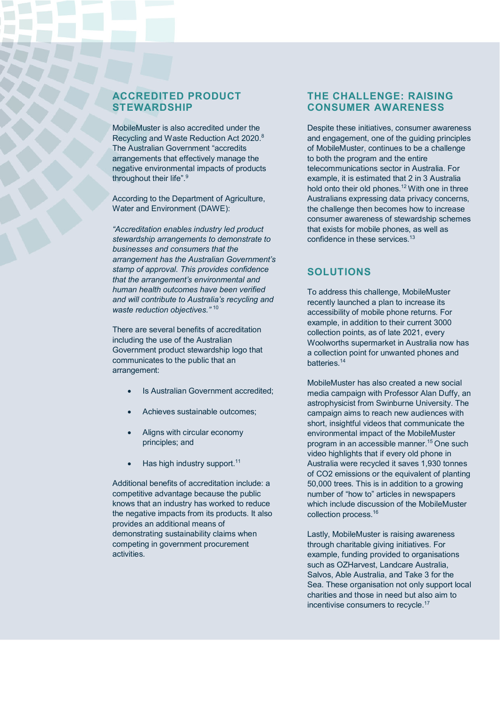#### **ACCREDITED PRODUCT STEWARDSHIP**

MobileMuster is also accredited under the Recycling and Waste Reduction Act 2020.8 The Australian Government "accredits arrangements that effectively manage the negative environmental impacts of products throughout their life".<sup>9</sup>

According to the Department of Agriculture, Water and Environment (DAWE):

*"Accreditation enables industry led product stewardship arrangements to demonstrate to businesses and consumers that the arrangement has the Australian Government's stamp of approval. This provides confidence that the arrangement's environmental and human health outcomes have been verified and will contribute to Australia's recycling and waste reduction objectives."* <sup>10</sup>

There are several benefits of accreditation including the use of the Australian Government product stewardship logo that communicates to the public that an arrangement:

- Is Australian Government accredited;
- Achieves sustainable outcomes;
- Aligns with circular economy principles; and
- $\bullet$  Has high industry support.<sup>11</sup>

Additional benefits of accreditation include: a competitive advantage because the public knows that an industry has worked to reduce the negative impacts from its products. It also provides an additional means of demonstrating sustainability claims when competing in government procurement activities.

# **THE CHALLENGE: RAISING CONSUMER AWARENESS**

Despite these initiatives, consumer awareness and engagement, one of the guiding principles of MobileMuster, continues to be a challenge to both the program and the entire telecommunications sector in Australia. For example, it is estimated that 2 in 3 Australia hold onto their old phones.<sup>12</sup> With one in three Australians expressing data privacy concerns, the challenge then becomes how to increase consumer awareness of stewardship schemes that exists for mobile phones, as well as confidence in these services <sup>13</sup>

# **SOLUTIONS**

To address this challenge, MobileMuster recently launched a plan to increase its accessibility of mobile phone returns. For example, in addition to their current 3000 collection points, as of late 2021, every Woolworths supermarket in Australia now has a collection point for unwanted phones and batteries.14

MobileMuster has also created a new social media campaign with Professor Alan Duffy, an astrophysicist from Swinburne University. The campaign aims to reach new audiences with short, insightful videos that communicate the environmental impact of the MobileMuster program in an accessible manner.15 One such video highlights that if every old phone in Australia were recycled it saves 1,930 tonnes of CO2 emissions or the equivalent of planting 50,000 trees. This is in addition to a growing number of "how to" articles in newspapers which include discussion of the MobileMuster collection process.16

Lastly, MobileMuster is raising awareness through charitable giving initiatives. For example, funding provided to organisations such as OZHarvest, Landcare Australia, Salvos, Able Australia, and Take 3 for the Sea. These organisation not only support local charities and those in need but also aim to incentivise consumers to recycle.<sup>17</sup>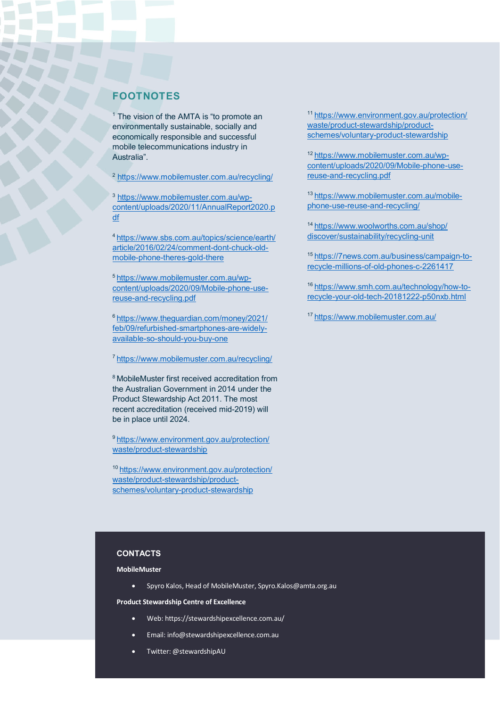#### **FOOTNOTES**

 $1$  The vision of the AMTA is "to promote an environmentally sustainable, socially and economically responsible and successful mobile telecommunications industry in Australia".

<sup>2</sup> <https://www.mobilemuster.com.au/recycling/>

<sup>3</sup> [https://www.mobilemuster.com.au/wp](https://www.mobilemuster.com.au/wp-content/uploads/2020/11/AnnualReport2020.pdf)[content/uploads/2020/11/AnnualReport2020.p](https://www.mobilemuster.com.au/wp-content/uploads/2020/11/AnnualReport2020.pdf) [df](https://www.mobilemuster.com.au/wp-content/uploads/2020/11/AnnualReport2020.pdf)

[4 https://www.sbs.com.au/topics/science/earth/](https://www.sbs.com.au/topics/science/earth/article/2016/02/24/comment-dont-chuck-old-mobile-phone-theres-gold-there) [article/2016/02/24/comment-dont-chuck-old](https://www.sbs.com.au/topics/science/earth/article/2016/02/24/comment-dont-chuck-old-mobile-phone-theres-gold-there)[mobile-phone-theres-gold-there](https://www.sbs.com.au/topics/science/earth/article/2016/02/24/comment-dont-chuck-old-mobile-phone-theres-gold-there)

[5 https://www.mobilemuster.com.au/wp](https://www.mobilemuster.com.au/wp-content/uploads/2020/09/Mobile-phone-use-reuse-and-recycling.pdf)[content/uploads/2020/09/Mobile-phone-use](https://www.mobilemuster.com.au/wp-content/uploads/2020/09/Mobile-phone-use-reuse-and-recycling.pdf)[reuse-and-recycling.pdf](https://www.mobilemuster.com.au/wp-content/uploads/2020/09/Mobile-phone-use-reuse-and-recycling.pdf)

<sup>6</sup> [https://www.theguardian.com/money/2021/](https://www.theguardian.com/money/2021/feb/09/refurbished-smartphones-are-widely-available-so-should-you-buy-one) [feb/09/refurbished-smartphones-are-widely](https://www.theguardian.com/money/2021/feb/09/refurbished-smartphones-are-widely-available-so-should-you-buy-one)[available-so-should-you-buy-one](https://www.theguardian.com/money/2021/feb/09/refurbished-smartphones-are-widely-available-so-should-you-buy-one)

[7 https://www.mobilemuster.com.au/recycling/](https://www.mobilemuster.com.au/recycling/)

8 MobileMuster first received accreditation from the Australian Government in 2014 under the Product Stewardship Act 2011. The most recent accreditation (received mid-2019) will be in place until 2024.

[9 https://www.environment.gov.au/protection/](https://www.environment.gov.au/protection/waste/product-stewardship) [waste/product-stewardship](https://www.environment.gov.au/protection/waste/product-stewardship)

1[0 https://www.environment.gov.au/protection/](https://www.environment.gov.au/protection/waste/product-stewardship/product-schemes/voluntary-product-stewardship) [waste/product-stewardship/product](https://www.environment.gov.au/protection/waste/product-stewardship/product-schemes/voluntary-product-stewardship)[schemes/voluntary-product-stewardship](https://www.environment.gov.au/protection/waste/product-stewardship/product-schemes/voluntary-product-stewardship)

1[1 https://www.environment.gov.au/protection/](https://www.environment.gov.au/protection/waste/product-stewardship/product-schemes/voluntary-product-stewardship) [waste/product-stewardship/product](https://www.environment.gov.au/protection/waste/product-stewardship/product-schemes/voluntary-product-stewardship)[schemes/voluntary-product-stewardship](https://www.environment.gov.au/protection/waste/product-stewardship/product-schemes/voluntary-product-stewardship)

1[2 https://www.mobilemuster.com.au/wp](https://www.mobilemuster.com.au/wp-content/uploads/2020/09/Mobile-phone-use-reuse-and-recycling.pdf)[content/uploads/2020/09/Mobile-phone-use](https://www.mobilemuster.com.au/wp-content/uploads/2020/09/Mobile-phone-use-reuse-and-recycling.pdf)[reuse-and-recycling.pdf](https://www.mobilemuster.com.au/wp-content/uploads/2020/09/Mobile-phone-use-reuse-and-recycling.pdf)

1[3 https://www.mobilemuster.com.au/mobile](https://www.mobilemuster.com.au/mobile-phone-use-reuse-and-recycling/)[phone-use-reuse-and-recycling/](https://www.mobilemuster.com.au/mobile-phone-use-reuse-and-recycling/)

1[4 https://www.woolworths.com.au/shop/](https://www.woolworths.com.au/shop/discover/sustainability/recycling-unit) [discover/sustainability/recycling-unit](https://www.woolworths.com.au/shop/discover/sustainability/recycling-unit)

1[5 https://7news.com.au/business/campaign-to](https://7news.com.au/business/campaign-to-recycle-millions-of-old-phones-c-2261417)[recycle-millions-of-old-phones-c-2261417](https://7news.com.au/business/campaign-to-recycle-millions-of-old-phones-c-2261417)

1[6 https://www.smh.com.au/technology/how-to](https://www.smh.com.au/technology/how-to-recycle-your-old-tech-20181222-p50nxb.html)[recycle-your-old-tech-20181222-p50nxb.html](https://www.smh.com.au/technology/how-to-recycle-your-old-tech-20181222-p50nxb.html)

1[7 https://www.mobilemuster.com.au/](https://www.mobilemuster.com.au/)

#### **CONTACTS**

**MobileMuster**

• Spyro Kalos, Head of MobileMuster, Spyro.Kalos@amta.org.au

**Product Stewardship Centre of Excellence**

- Web: https://stewardshipexcellence.com.au/
- Email: info@stewardshipexcellence.com.au
- Twitter: @stewardshipAU